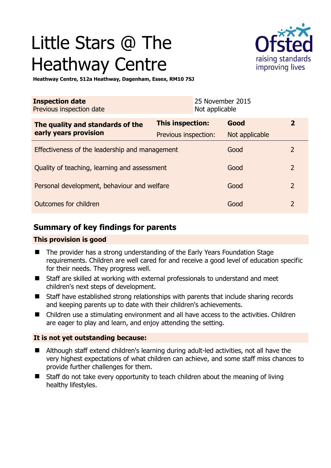# Little Stars @ The Heathway Centre



**Heathway Centre, 512a Heathway, Dagenham, Essex, RM10 7SJ** 

| <b>Inspection date</b><br>Previous inspection date |                         | 25 November 2015<br>Not applicable |                |                |
|----------------------------------------------------|-------------------------|------------------------------------|----------------|----------------|
| The quality and standards of the                   | <b>This inspection:</b> |                                    | Good           | $\overline{2}$ |
| early years provision                              | Previous inspection:    |                                    | Not applicable |                |
| Effectiveness of the leadership and management     |                         |                                    | Good           | 2              |
| Quality of teaching, learning and assessment       |                         |                                    | Good           | $\overline{2}$ |
| Personal development, behaviour and welfare        |                         |                                    | Good           | $\overline{2}$ |
| Outcomes for children                              |                         |                                    | Good           | $\overline{2}$ |

## **Summary of key findings for parents**

## **This provision is good**

- The provider has a strong understanding of the Early Years Foundation Stage requirements. Children are well cared for and receive a good level of education specific for their needs. They progress well.
- Staff are skilled at working with external professionals to understand and meet children's next steps of development.
- Staff have established strong relationships with parents that include sharing records and keeping parents up to date with their children's achievements.
- Children use a stimulating environment and all have access to the activities. Children are eager to play and learn, and enjoy attending the setting.

#### **It is not yet outstanding because:**

- Although staff extend children's learning during adult-led activities, not all have the very highest expectations of what children can achieve, and some staff miss chances to provide further challenges for them.
- Staff do not take every opportunity to teach children about the meaning of living healthy lifestyles.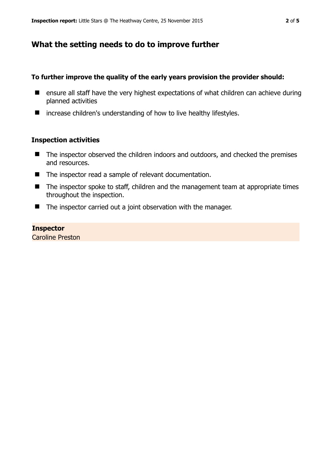## **What the setting needs to do to improve further**

### **To further improve the quality of the early years provision the provider should:**

- **E** ensure all staff have the very highest expectations of what children can achieve during planned activities
- $\blacksquare$  increase children's understanding of how to live healthy lifestyles.

#### **Inspection activities**

- The inspector observed the children indoors and outdoors, and checked the premises and resources.
- The inspector read a sample of relevant documentation.
- The inspector spoke to staff, children and the management team at appropriate times throughout the inspection.
- The inspector carried out a joint observation with the manager.

#### **Inspector**

Caroline Preston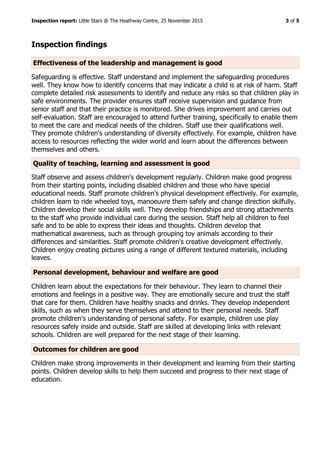## **Inspection findings**

#### **Effectiveness of the leadership and management is good**

Safeguarding is effective. Staff understand and implement the safeguarding procedures well. They know how to identify concerns that may indicate a child is at risk of harm. Staff complete detailed risk assessments to identify and reduce any risks so that children play in safe environments. The provider ensures staff receive supervision and guidance from senior staff and that their practice is monitored. She drives improvement and carries out self-evaluation. Staff are encouraged to attend further training, specifically to enable them to meet the care and medical needs of the children. Staff use their qualifications well. They promote children's understanding of diversity effectively. For example, children have access to resources reflecting the wider world and learn about the differences between themselves and others.

#### **Quality of teaching, learning and assessment is good**

Staff observe and assess children's development regularly. Children make good progress from their starting points, including disabled children and those who have special educational needs. Staff promote children's physical development effectively. For example, children learn to ride wheeled toys, manoeuvre them safely and change direction skilfully. Children develop their social skills well. They develop friendships and strong attachments to the staff who provide individual care during the session. Staff help all children to feel safe and to be able to express their ideas and thoughts. Children develop that mathematical awareness, such as through grouping toy animals according to their differences and similarities. Staff promote children's creative development effectively. Children enjoy creating pictures using a range of different textured materials, including leaves.

#### **Personal development, behaviour and welfare are good**

Children learn about the expectations for their behaviour. They learn to channel their emotions and feelings in a positive way. They are emotionally secure and trust the staff that care for them. Children have healthy snacks and drinks. They develop independent skills, such as when they serve themselves and attend to their personal needs. Staff promote children's understanding of personal safety. For example, children use play resources safely inside and outside. Staff are skilled at developing links with relevant schools. Children are well prepared for the next stage of their learning.

#### **Outcomes for children are good**

Children make strong improvements in their development and learning from their starting points. Children develop skills to help them succeed and progress to their next stage of education.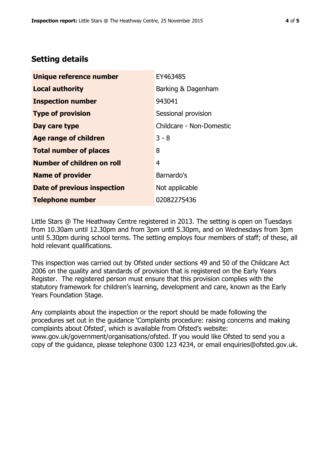# **Setting details**

| Unique reference number       | EY463485                 |
|-------------------------------|--------------------------|
| <b>Local authority</b>        | Barking & Dagenham       |
| <b>Inspection number</b>      | 943041                   |
| <b>Type of provision</b>      | Sessional provision      |
| Day care type                 | Childcare - Non-Domestic |
| <b>Age range of children</b>  | $3 - 8$                  |
| <b>Total number of places</b> | 8                        |
| Number of children on roll    | 4                        |
| <b>Name of provider</b>       | Barnardo's               |
| Date of previous inspection   | Not applicable           |
| <b>Telephone number</b>       | 02082275436              |

Little Stars @ The Heathway Centre registered in 2013. The setting is open on Tuesdays from 10.30am until 12.30pm and from 3pm until 5.30pm, and on Wednesdays from 3pm until 5.30pm during school terms. The setting employs four members of staff; of these, all hold relevant qualifications.

This inspection was carried out by Ofsted under sections 49 and 50 of the Childcare Act 2006 on the quality and standards of provision that is registered on the Early Years Register. The registered person must ensure that this provision complies with the statutory framework for children's learning, development and care, known as the Early Years Foundation Stage.

Any complaints about the inspection or the report should be made following the procedures set out in the guidance 'Complaints procedure: raising concerns and making complaints about Ofsted', which is available from Ofsted's website: www.gov.uk/government/organisations/ofsted. If you would like Ofsted to send you a copy of the guidance, please telephone 0300 123 4234, or email enquiries@ofsted.gov.uk.